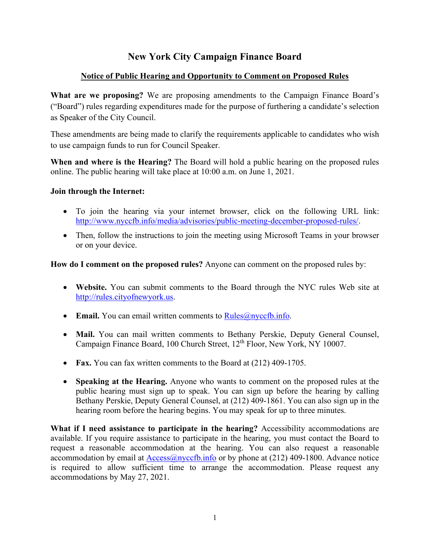# **New York City Campaign Finance Board**

### **Notice of Public Hearing and Opportunity to Comment on Proposed Rules**

**What are we proposing?** We are proposing amendments to the Campaign Finance Board's ("Board") rules regarding expenditures made for the purpose of furthering a candidate's selection as Speaker of the City Council.

These amendments are being made to clarify the requirements applicable to candidates who wish to use campaign funds to run for Council Speaker.

**When and where is the Hearing?** The Board will hold a public hearing on the proposed rules online. The public hearing will take place at 10:00 a.m. on June 1, 2021.

#### **Join through the Internet:**

- To join the hearing via your internet browser, click on the following URL link: [http://www.nyccfb.info/media/advisories/public-meeting-december-proposed-rules/.](http://www.nyccfb.info/media/advisories/public-meeting-december-proposed-rules/)
- Then, follow the instructions to join the meeting using Microsoft Teams in your browser or on your device.

**How do I comment on the proposed rules?** Anyone can comment on the proposed rules by:

- **Website.** You can submit comments to the Board through the NYC rules Web site at [http://rules.cityofnewyork.us.](about:blank)
- **Email.** You can email written comments to [Rules@nyccfb.info.](about:blank)
- **Mail.** You can mail written comments to Bethany Perskie, Deputy General Counsel, Campaign Finance Board, 100 Church Street, 12<sup>th</sup> Floor, New York, NY 10007.
- **Fax.** You can fax written comments to the Board at (212) 409-1705.
- **Speaking at the Hearing.** Anyone who wants to comment on the proposed rules at the public hearing must sign up to speak. You can sign up before the hearing by calling Bethany Perskie, Deputy General Counsel, at (212) 409-1861. You can also sign up in the hearing room before the hearing begins. You may speak for up to three minutes.

**What if I need assistance to participate in the hearing?** Accessibility accommodations are available. If you require assistance to participate in the hearing, you must contact the Board to request a reasonable accommodation at the hearing. You can also request a reasonable accommodation by email at  $\text{Access@nyccfb.info}$  or by phone at (212) 409-1800. Advance notice is required to allow sufficient time to arrange the accommodation. Please request any accommodations by May 27, 2021.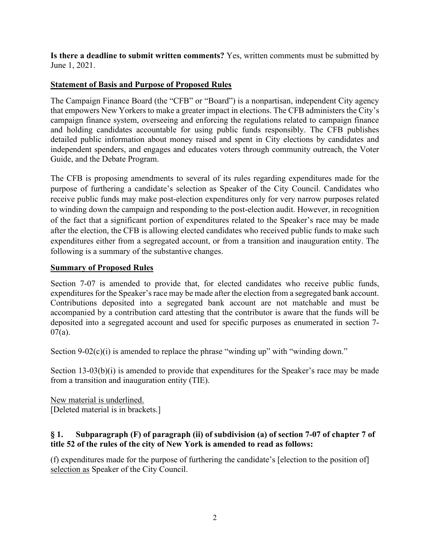**Is there a deadline to submit written comments?** Yes, written comments must be submitted by June 1, 2021.

# **Statement of Basis and Purpose of Proposed Rules**

The Campaign Finance Board (the "CFB" or "Board") is a nonpartisan, independent City agency that empowers New Yorkers to make a greater impact in elections. The CFB administers the City's campaign finance system, overseeing and enforcing the regulations related to campaign finance and holding candidates accountable for using public funds responsibly. The CFB publishes detailed public information about money raised and spent in City elections by candidates and independent spenders, and engages and educates voters through community outreach, the Voter Guide, and the Debate Program.

The CFB is proposing amendments to several of its rules regarding expenditures made for the purpose of furthering a candidate's selection as Speaker of the City Council. Candidates who receive public funds may make post-election expenditures only for very narrow purposes related to winding down the campaign and responding to the post-election audit. However, in recognition of the fact that a significant portion of expenditures related to the Speaker's race may be made after the election, the CFB is allowing elected candidates who received public funds to make such expenditures either from a segregated account, or from a transition and inauguration entity. The following is a summary of the substantive changes.

### **Summary of Proposed Rules**

Section 7-07 is amended to provide that, for elected candidates who receive public funds, expenditures for the Speaker's race may be made after the election from a segregated bank account. Contributions deposited into a segregated bank account are not matchable and must be accompanied by a contribution card attesting that the contributor is aware that the funds will be deposited into a segregated account and used for specific purposes as enumerated in section 7- 07(a).

Section  $9-02(c)(i)$  is amended to replace the phrase "winding up" with "winding down."

Section 13-03(b)(i) is amended to provide that expenditures for the Speaker's race may be made from a transition and inauguration entity (TIE).

New material is underlined. [Deleted material is in brackets.]

### **§ 1. Subparagraph (F) of paragraph (ii) of subdivision (a) of section 7-07 of chapter 7 of title 52 of the rules of the city of New York is amended to read as follows:**

(f) expenditures made for the purpose of furthering the candidate's [election to the position of] selection as Speaker of the City Council.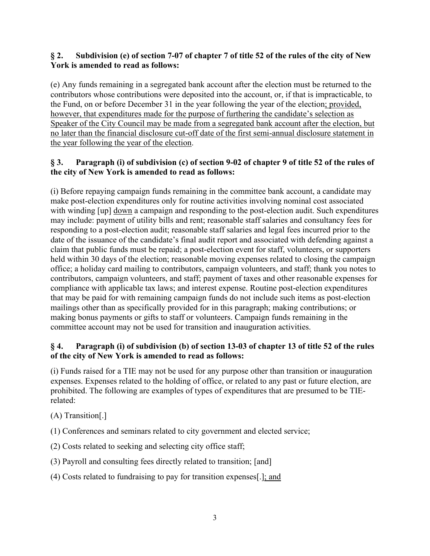### **§ 2. Subdivision (e) of section 7-07 of chapter 7 of title 52 of the rules of the city of New York is amended to read as follows:**

(e) Any funds remaining in a segregated bank account after the election must be returned to the contributors whose contributions were deposited into the account, or, if that is impracticable, to the Fund, on or before December 31 in the year following the year of the election; provided, however, that expenditures made for the purpose of furthering the candidate's selection as Speaker of the City Council may be made from a segregated bank account after the election, but no later than the financial disclosure cut-off date of the first semi-annual disclosure statement in the year following the year of the election.

# **§ 3. Paragraph (i) of subdivision (c) of section 9-02 of chapter 9 of title 52 of the rules of the city of New York is amended to read as follows:**

(i) Before repaying campaign funds remaining in the committee bank account, a candidate may make post-election expenditures only for routine activities involving nominal cost associated with winding [up] down a campaign and responding to the post-election audit. Such expenditures may include: payment of utility bills and rent; reasonable staff salaries and consultancy fees for responding to a post-election audit; reasonable staff salaries and legal fees incurred prior to the date of the issuance of the candidate's final audit report and associated with defending against a claim that public funds must be repaid; a post-election event for staff, volunteers, or supporters held within 30 days of the election; reasonable moving expenses related to closing the campaign office; a holiday card mailing to contributors, campaign volunteers, and staff; thank you notes to contributors, campaign volunteers, and staff; payment of taxes and other reasonable expenses for compliance with applicable tax laws; and interest expense. Routine post-election expenditures that may be paid for with remaining campaign funds do not include such items as post-election mailings other than as specifically provided for in this paragraph; making contributions; or making bonus payments or gifts to staff or volunteers. Campaign funds remaining in the committee account may not be used for transition and inauguration activities.

## **§ 4. Paragraph (i) of subdivision (b) of section 13-03 of chapter 13 of title 52 of the rules of the city of New York is amended to read as follows:**

(i) Funds raised for a TIE may not be used for any purpose other than transition or inauguration expenses. Expenses related to the holding of office, or related to any past or future election, are prohibited. The following are examples of types of expenditures that are presumed to be TIErelated:

(A) Transition[.]

(1) Conferences and seminars related to city government and elected service;

(2) Costs related to seeking and selecting city office staff;

(3) Payroll and consulting fees directly related to transition; [and]

(4) Costs related to fundraising to pay for transition expenses[.]; and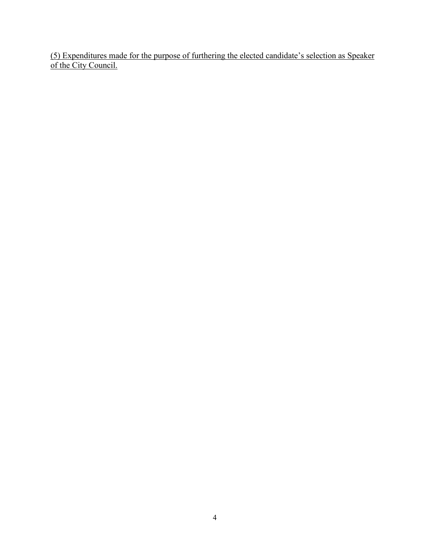(5) Expenditures made for the purpose of furthering the elected candidate's selection as Speaker of the City Council.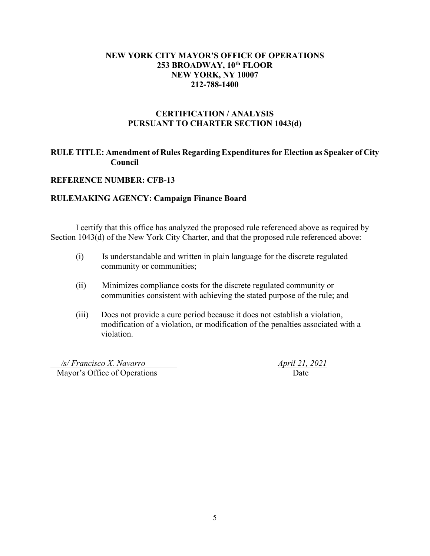#### **NEW YORK CITY MAYOR'S OFFICE OF OPERATIONS 253 BROADWAY, 10th FLOOR NEW YORK, NY 10007 212-788-1400**

#### **CERTIFICATION / ANALYSIS PURSUANT TO CHARTER SECTION 1043(d)**

### **RULE TITLE: Amendment of Rules Regarding Expenditures for Election as Speaker of City Council**

#### **REFERENCE NUMBER: CFB-13**

#### **RULEMAKING AGENCY: Campaign Finance Board**

I certify that this office has analyzed the proposed rule referenced above as required by Section 1043(d) of the New York City Charter, and that the proposed rule referenced above:

- (i) Is understandable and written in plain language for the discrete regulated community or communities;
- (ii) Minimizes compliance costs for the discrete regulated community or communities consistent with achieving the stated purpose of the rule; and
- (iii) Does not provide a cure period because it does not establish a violation, modification of a violation, or modification of the penalties associated with a violation.

 */s/ Francisco X. Navarro April 21, 2021* Mayor's Office of Operations Date